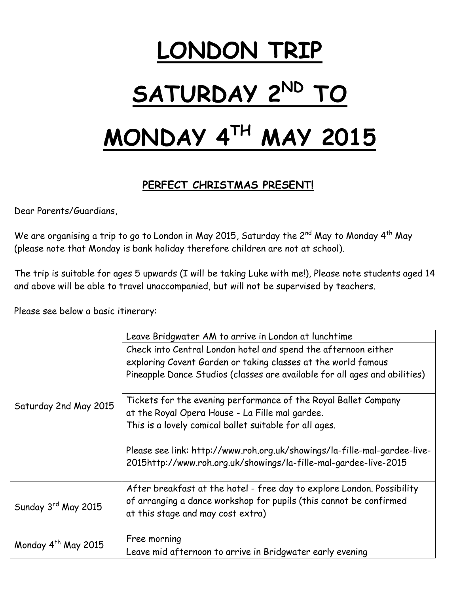# **LONDON TRIP**   $SATURDAY 2<sup>ND</sup>$

## **MONDAY 4TH MAY 2015**

### **PERFECT CHRISTMAS PRESENT!**

Dear Parents/Guardians,

We are organising a trip to go to London in May 2015, Saturday the  $2^{nd}$  May to Monday  $4^{th}$  May (please note that Monday is bank holiday therefore children are not at school).

The trip is suitable for ages 5 upwards (I will be taking Luke with me!), Please note students aged 14 and above will be able to travel unaccompanied, but will not be supervised by teachers.

Please see below a basic itinerary:

| Saturday 2nd May 2015           | Leave Bridgwater AM to arrive in London at lunchtime                                                                                                                              |
|---------------------------------|-----------------------------------------------------------------------------------------------------------------------------------------------------------------------------------|
|                                 | Check into Central London hotel and spend the afternoon either                                                                                                                    |
|                                 | exploring Covent Garden or taking classes at the world famous                                                                                                                     |
|                                 | Pineapple Dance Studios (classes are available for all ages and abilities)                                                                                                        |
|                                 | Tickets for the evening performance of the Royal Ballet Company                                                                                                                   |
|                                 | at the Royal Opera House - La Fille mal gardee.                                                                                                                                   |
|                                 | This is a lovely comical ballet suitable for all ages.                                                                                                                            |
|                                 | Please see link: http://www.roh.org.uk/showings/la-fille-mal-gardee-live-<br>2015http://www.roh.org.uk/showings/la-fille-mal-gardee-live-2015                                     |
| Sunday 3rd May 2015             | After breakfast at the hotel - free day to explore London. Possibility<br>of arranging a dance workshop for pupils (this cannot be confirmed<br>at this stage and may cost extra) |
| Monday 4 <sup>th</sup> May 2015 | Free morning                                                                                                                                                                      |
|                                 | Leave mid afternoon to arrive in Bridgwater early evening                                                                                                                         |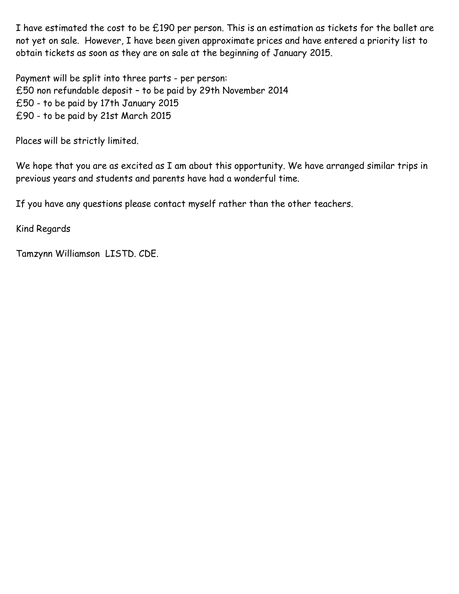I have estimated the cost to be £190 per person. This is an estimation as tickets for the ballet are not yet on sale. However, I have been given approximate prices and have entered a priority list to obtain tickets as soon as they are on sale at the beginning of January 2015.

Payment will be split into three parts - per person: £50 non refundable deposit – to be paid by 29th November 2014 £50 - to be paid by 17th January 2015 £90 - to be paid by 21st March 2015

Places will be strictly limited.

We hope that you are as excited as I am about this opportunity. We have arranged similar trips in previous years and students and parents have had a wonderful time.

If you have any questions please contact myself rather than the other teachers.

Kind Regards

Tamzynn Williamson LISTD. CDE.